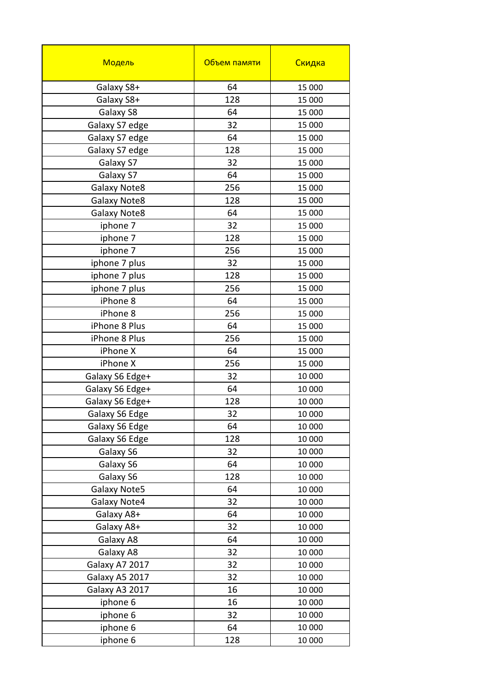| Модель              | Объем памяти | Скидка |
|---------------------|--------------|--------|
| Galaxy S8+          | 64           | 15 000 |
| Galaxy S8+          | 128          | 15 000 |
| Galaxy S8           | 64           | 15 000 |
| Galaxy S7 edge      | 32           | 15 000 |
| Galaxy S7 edge      | 64           | 15 000 |
| Galaxy S7 edge      | 128          | 15 000 |
| Galaxy S7           | 32           | 15 000 |
| Galaxy S7           | 64           | 15 000 |
| <b>Galaxy Note8</b> | 256          | 15 000 |
| <b>Galaxy Note8</b> | 128          | 15 000 |
| <b>Galaxy Note8</b> | 64           | 15 000 |
| iphone 7            | 32           | 15 000 |
| iphone 7            | 128          | 15 000 |
| iphone 7            | 256          | 15 000 |
| iphone 7 plus       | 32           | 15 000 |
| iphone 7 plus       | 128          | 15 000 |
| iphone 7 plus       | 256          | 15 000 |
| iPhone 8            | 64           | 15 000 |
| iPhone 8            | 256          | 15 000 |
| iPhone 8 Plus       | 64           | 15 000 |
| iPhone 8 Plus       | 256          | 15 000 |
| iPhone X            | 64           | 15 000 |
| iPhone X            | 256          | 15 000 |
| Galaxy S6 Edge+     | 32           | 10 000 |
| Galaxy S6 Edge+     | 64           | 10 000 |
| Galaxy S6 Edge+     | 128          | 10 000 |
| Galaxy S6 Edge      | 32           | 10 000 |
| Galaxy S6 Edge      | 64           | 10 000 |
| Galaxy S6 Edge      | 128          | 10 000 |
| Galaxy S6           | 32           | 10 000 |
| Galaxy S6           | 64           | 10 000 |
| Galaxy S6           | 128          | 10 000 |
| Galaxy Note5        | 64           | 10 000 |
| Galaxy Note4        | 32           | 10 000 |
| Galaxy A8+          | 64           | 10 000 |
| Galaxy A8+          | 32           | 10 000 |
| Galaxy A8           | 64           | 10 000 |
| Galaxy A8           | 32           | 10 000 |
| Galaxy A7 2017      | 32           | 10 000 |
| Galaxy A5 2017      | 32           | 10 000 |
| Galaxy A3 2017      | 16           | 10 000 |
| iphone 6            | 16           | 10 000 |
| iphone 6            | 32           | 10 000 |
| iphone 6            | 64           | 10 000 |
| iphone 6            | 128          | 10 000 |